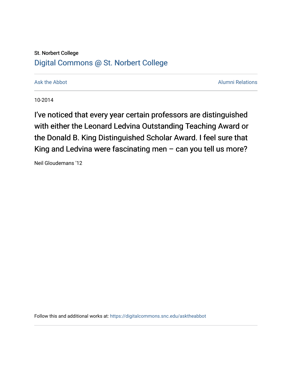## St. Norbert College [Digital Commons @ St. Norbert College](https://digitalcommons.snc.edu/)

[Ask the Abbot](https://digitalcommons.snc.edu/asktheabbot) **Alumni Relations** Ask the Abbot [Alumni Relations](https://digitalcommons.snc.edu/alumni) and Alumni Relations and Alumni Relations and Alumni Relations and Alumni Relations and Alumni Relations and Alumni Relations and Alumni Relations and Alumni

10-2014

I've noticed that every year certain professors are distinguished with either the Leonard Ledvina Outstanding Teaching Award or the Donald B. King Distinguished Scholar Award. I feel sure that King and Ledvina were fascinating men – can you tell us more?

Neil Gloudemans '12

Follow this and additional works at: [https://digitalcommons.snc.edu/asktheabbot](https://digitalcommons.snc.edu/asktheabbot?utm_source=digitalcommons.snc.edu%2Fasktheabbot%2F80&utm_medium=PDF&utm_campaign=PDFCoverPages)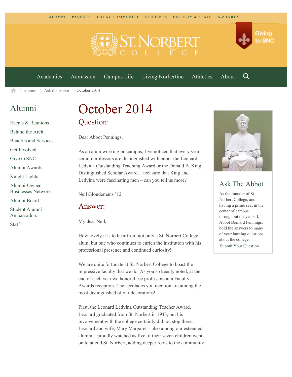

[Academics](https://www.snc.edu/academics) [Admission](https://www.snc.edu/admission) [Campus Life](https://www.snc.edu/campuslife) [Living Norbertine](https://www.snc.edu/livingnorbertine) [Athletics](https://www.snc.edu/athletics) [About](https://www.snc.edu/about)

Q

Giving

to SNC

 $\geq$  [Alumni](https://www.snc.edu/alumni/)  $\geq$  [Ask the Abbot](https://www.snc.edu/alumni/abbot/)  $\geq$  October 2014 合

## [Alumni](https://www.snc.edu/alumni/index.html)

[Events & Reunions](https://www.snc.edu/alumni/event/index.html) [Behind the Arch](https://www.snc.edu/alumni/event/behindthearch/) [Benefits and Services](https://www.snc.edu/alumni/benefits.html) [Get Involved](https://www.snc.edu/alumni/getinvolved.html) [Give to SNC](http://giving.snc.edu/) [Alumni Awards](https://www.snc.edu/alumni/awards/index.html) [Knight Lights](https://www.snc.edu/alumni/knightlights/index.html) [Alumni-Owned](https://www.snc.edu/alumni/directory/index.html) [Businesses Network](https://www.snc.edu/alumni/directory/index.html) [Alumni Board](https://www.snc.edu/alumni/alumniboard.html) [Student Alumni](https://www.snc.edu/alumni/saa.html) [Ambassadors](https://www.snc.edu/alumni/saa.html) [Staff](https://www.snc.edu/alumni/contactus.html)

# October 2014 Question:

Dear Abbot Pennings,

As an alum working on campus, I've noticed that every year certain professors are distinguished with either the Leonard Ledvina Outstanding Teaching Award or the Donald B. King Distinguished Scholar Award. I feel sure that King and Ledvina were fascinating men – can you tell us more?

Neil Gloudemans '12

#### Answer:

My dear Neil,

How lovely it is to hear from not only a St. Norbert College alum, but one who continues to enrich the institution with his professional presence and continued curiosity!

We are quite fortunate at St. Norbert College to boast the impressive faculty that we do. As you so keenly noted, at the end of each year we honor these professors at a Faculty Awards reception. The accolades you mention are among the most distinguished of our decorations!

First, the Leonard Ledvina Outstanding Teacher Award. Leonard graduated from St. Norbert in 1943, but his involvement with the college certainly did not stop there. Leonard and wife, Mary Margaret – also among our esteemed alumni – proudly watched as five of their seven children went on to attend St. Norbert, adding deeper roots to the community.



### Ask The Abbot

As the founder of St. Norbert College, and having a prime seat in the center of campus throughout the years, I, Abbot Bernard Pennings, hold the answers to many of your burning questions about the college. [Submit Your Question](https://www.snc.edu/alumni/abbot/index.html)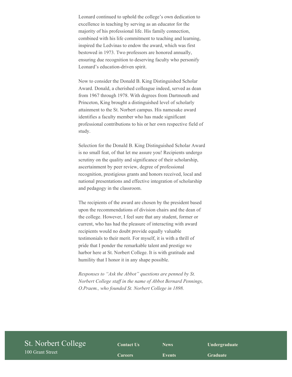Leonard continued to uphold the college's own dedication to excellence in teaching by serving as an educator for the majority of his professional life. His family connection, combined with his life commitment to teaching and learning, inspired the Ledvinas to endow the award, which was first bestowed in 1973. Two professors are honored annually, ensuring due recognition to deserving faculty who personify Leonard's education-driven spirit.

Now to consider the Donald B. King Distinguished Scholar Award. Donald, a cherished colleague indeed, served as dean from 1967 through 1978. With degrees from Dartmouth and Princeton, King brought a distinguished level of scholarly attainment to the St. Norbert campus. His namesake award identifies a faculty member who has made significant professional contributions to his or her own respective field of study.

Selection for the Donald B. King Distinguished Scholar Award is no small feat, of that let me assure you! Recipients undergo scrutiny on the quality and significance of their scholarship, ascertainment by peer review, degree of professional recognition, prestigious grants and honors received, local and national presentations and effective integration of scholarship and pedagogy in the classroom.

The recipients of the award are chosen by the president based upon the recommendations of division chairs and the dean of the college. However, I feel sure that any student, former or current, who has had the pleasure of interacting with award recipients would no doubt provide equally valuable testimonials to their merit. For myself, it is with a thrill of pride that I ponder the remarkable talent and prestige we harbor here at St. Norbert College. It is with gratitude and humility that I honor it in any shape possible.

*Responses to "Ask the Abbot" questions are penned by St. Norbert College staff in the name of Abbot Bernard Pennings, O.Praem., who founded St. Norbert College in 1898.*

| St. Norbert College | <b>Contact Us</b> | <b>News</b>   | Undergraduate   |  |
|---------------------|-------------------|---------------|-----------------|--|
| 100 Grant Street    | <b>Careers</b>    | <b>Events</b> | <b>Graduate</b> |  |
|                     |                   |               |                 |  |